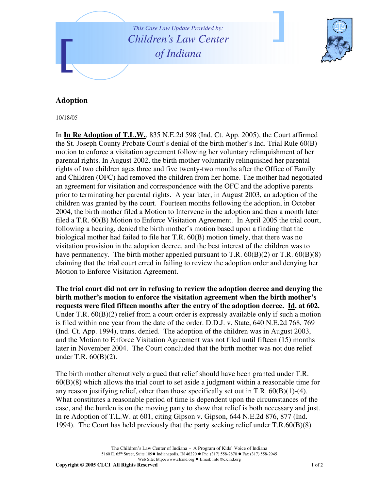



## **Adoption**

10/18/05

In **In Re Adoption of T.L.W.**, 835 N.E.2d 598 (Ind. Ct. App. 2005), the Court affirmed the St. Joseph County Probate Court's denial of the birth mother's Ind. Trial Rule 60(B) motion to enforce a visitation agreement following her voluntary relinquishment of her parental rights. In August 2002, the birth mother voluntarily relinquished her parental rights of two children ages three and five twenty-two months after the Office of Family and Children (OFC) had removed the children from her home. The mother had negotiated an agreement for visitation and correspondence with the OFC and the adoptive parents prior to terminating her parental rights. A year later, in August 2003, an adoption of the children was granted by the court. Fourteen months following the adoption, in October 2004, the birth mother filed a Motion to Intervene in the adoption and then a month later filed a T.R. 60(B) Motion to Enforce Visitation Agreement. In April 2005 the trial court, following a hearing, denied the birth mother's motion based upon a finding that the biological mother had failed to file her T.R. 60(B) motion timely, that there was no visitation provision in the adoption decree, and the best interest of the children was to have permanency. The birth mother appealed pursuant to T.R.  $60(B)(2)$  or T.R.  $60(B)(8)$ claiming that the trial court erred in failing to review the adoption order and denying her Motion to Enforce Visitation Agreement.

**The trial court did not err in refusing to review the adoption decree and denying the birth mother's motion to enforce the visitation agreement when the birth mother's requests were filed fifteen months after the entry of the adoption decree. Id. at 602.** Under T.R.  $60(B)(2)$  relief from a court order is expressly available only if such a motion is filed within one year from the date of the order. D.D.J. v. State, 640 N.E.2d 768, 769 (Ind. Ct. App. 1994), trans. denied. The adoption of the children was in August 2003, and the Motion to Enforce Visitation Agreement was not filed until fifteen (15) months later in November 2004. The Court concluded that the birth mother was not due relief under T.R. 60(B)(2).

The birth mother alternatively argued that relief should have been granted under T.R. 60(B)(8) which allows the trial court to set aside a judgment within a reasonable time for any reason justifying relief, other than those specifically set out in T.R.  $60(B)(1)-(4)$ . What constitutes a reasonable period of time is dependent upon the circumstances of the case, and the burden is on the moving party to show that relief is both necessary and just. In re Adoption of T.L.W. at 601, citing Gipson v. Gipson, 644 N.E.2d 876, 877 (Ind. 1994). The Court has held previously that the party seeking relief under T.R.60(B)(8)